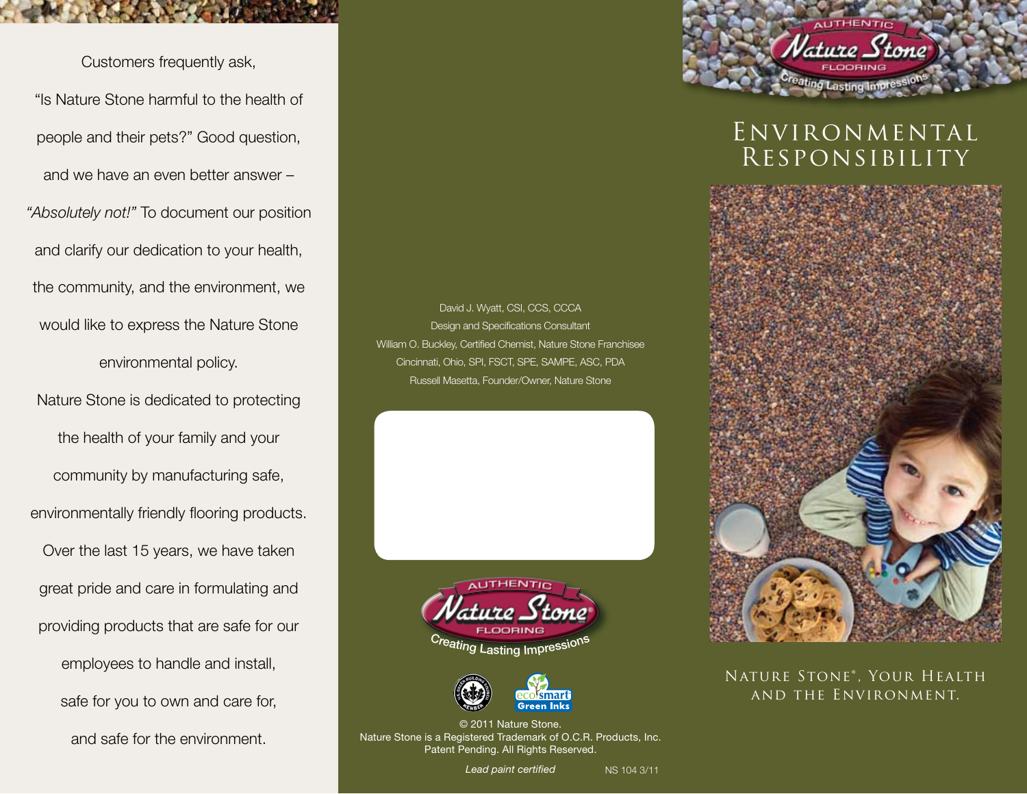Customers frequently ask, "Is Nature Stone harmful to the health of people and their pets?" Good question, and we have an even better answer – *"Absolutely not!"* To document our position and clarify our dedication to your health, the community, and the environment, we would like to express the Nature Stone environmental policy. Nature Stone is dedicated to protecting

the health of your family and your community by manufacturing safe, environmentally friendly flooring products. Over the last 15 years, we have taken great pride and care in formulating and providing products that are safe for our employees to handle and install, safe for you to own and care for, and safe for the environment.

David J. Wyatt, CSI, CCS, CCCA Design and Specifications Consultant William O. Buckley, Certified Chemist, Nature Stone Franchisee Cincinnati, Ohio, SPI, FSCT, SPE, SAMPE, ASC, PDA Russell Masetta, Founder/Owner, Nature Stone





© 2011 Nature Stone. Nature Stone is a Registered Trademark of O.C.R. Products, Inc. Patent Pending. All Rights Reserved.

*Lead paint certified*

NS 104 3/11



ure Stone



Nature Stone® , Your Health and the Environment.